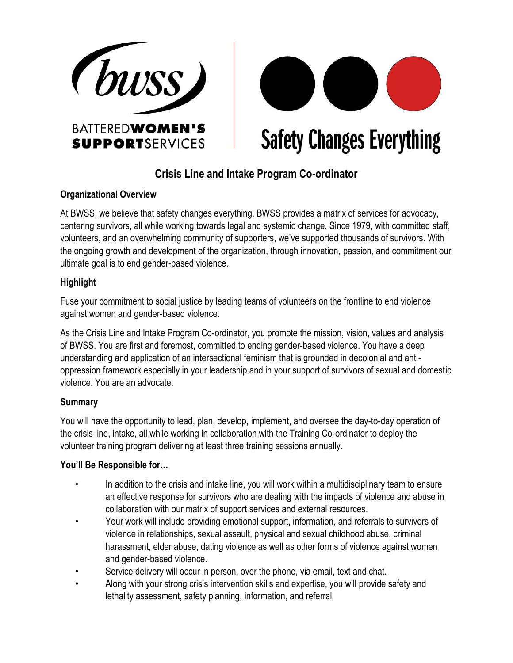



**Safety Changes Everything** 

# **Crisis Line and Intake Program Co-ordinator**

#### **Organizational Overview**

At BWSS, we believe that safety changes everything. BWSS provides a matrix of services for advocacy, centering survivors, all while working towards legal and systemic change. Since 1979, with committed staff, volunteers, and an overwhelming community of supporters, we've supported thousands of survivors. With the ongoing growth and development of the organization, through innovation, passion, and commitment our ultimate goal is to end gender-based violence.

## **Highlight**

Fuse your commitment to social justice by leading teams of volunteers on the frontline to end violence against women and gender-based violence.

As the Crisis Line and Intake Program Co-ordinator, you promote the mission, vision, values and analysis of BWSS. You are first and foremost, committed to ending gender-based violence. You have a deep understanding and application of an intersectional feminism that is grounded in decolonial and antioppression framework especially in your leadership and in your support of survivors of sexual and domestic violence. You are an advocate.

## **Summary**

You will have the opportunity to lead, plan, develop, implement, and oversee the day-to-day operation of the crisis line, intake, all while working in collaboration with the Training Co-ordinator to deploy the volunteer training program delivering at least three training sessions annually.

## **You'll Be Responsible for…**

- In addition to the crisis and intake line, you will work within a multidisciplinary team to ensure an effective response for survivors who are dealing with the impacts of violence and abuse in collaboration with our matrix of support services and external resources.
- Your work will include providing emotional support, information, and referrals to survivors of violence in relationships, sexual assault, physical and sexual childhood abuse, criminal harassment, elder abuse, dating violence as well as other forms of violence against women and gender-based violence.
- Service delivery will occur in person, over the phone, via email, text and chat.
- Along with your strong crisis intervention skills and expertise, you will provide safety and lethality assessment, safety planning, information, and referral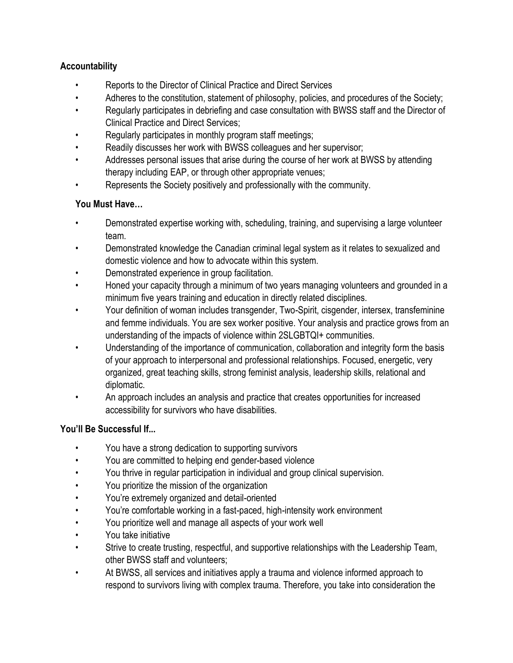# **Accountability**

- Reports to the Director of Clinical Practice and Direct Services
- Adheres to the constitution, statement of philosophy, policies, and procedures of the Society;
- Regularly participates in debriefing and case consultation with BWSS staff and the Director of Clinical Practice and Direct Services;
- Regularly participates in monthly program staff meetings;
- Readily discusses her work with BWSS colleagues and her supervisor;
- Addresses personal issues that arise during the course of her work at BWSS by attending therapy including EAP, or through other appropriate venues;
- Represents the Society positively and professionally with the community.

# **You Must Have…**

- Demonstrated expertise working with, scheduling, training, and supervising a large volunteer team.
- Demonstrated knowledge the Canadian criminal legal system as it relates to sexualized and domestic violence and how to advocate within this system.
- Demonstrated experience in group facilitation.
- Honed your capacity through a minimum of two years managing volunteers and grounded in a minimum five years training and education in directly related disciplines.
- Your definition of woman includes transgender, Two-Spirit, cisgender, intersex, transfeminine and femme individuals. You are sex worker positive. Your analysis and practice grows from an understanding of the impacts of violence within 2SLGBTQI+ communities.
- Understanding of the importance of communication, collaboration and integrity form the basis of your approach to interpersonal and professional relationships. Focused, energetic, very organized, great teaching skills, strong feminist analysis, leadership skills, relational and diplomatic.
- An approach includes an analysis and practice that creates opportunities for increased accessibility for survivors who have disabilities.

## **You'll Be Successful If...**

- You have a strong dedication to supporting survivors
- You are committed to helping end gender-based violence
- You thrive in regular participation in individual and group clinical supervision.
- You prioritize the mission of the organization
- You're extremely organized and detail-oriented
- You're comfortable working in a fast-paced, high-intensity work environment
- You prioritize well and manage all aspects of your work well
- You take initiative
- Strive to create trusting, respectful, and supportive relationships with the Leadership Team, other BWSS staff and volunteers;
- At BWSS, all services and initiatives apply a trauma and violence informed approach to respond to survivors living with complex trauma. Therefore, you take into consideration the